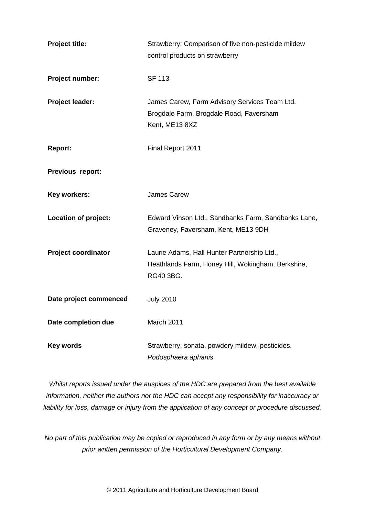| Project title:             | Strawberry: Comparison of five non-pesticide mildew<br>control products on strawberry                          |
|----------------------------|----------------------------------------------------------------------------------------------------------------|
| Project number:            | <b>SF 113</b>                                                                                                  |
| Project leader:            | James Carew, Farm Advisory Services Team Ltd.<br>Brogdale Farm, Brogdale Road, Faversham<br>Kent, ME13 8XZ     |
| <b>Report:</b>             | Final Report 2011                                                                                              |
| Previous report:           |                                                                                                                |
| <b>Key workers:</b>        | <b>James Carew</b>                                                                                             |
| Location of project:       | Edward Vinson Ltd., Sandbanks Farm, Sandbanks Lane,<br>Graveney, Faversham, Kent, ME13 9DH                     |
| <b>Project coordinator</b> | Laurie Adams, Hall Hunter Partnership Ltd.,<br>Heathlands Farm, Honey Hill, Wokingham, Berkshire,<br>RG40 3BG. |
| Date project commenced     | <b>July 2010</b>                                                                                               |
| Date completion due        | March 2011                                                                                                     |
| <b>Key words</b>           | Strawberry, sonata, powdery mildew, pesticides,<br>Podosphaera aphanis                                         |

*Whilst reports issued under the auspices of the HDC are prepared from the best available information, neither the authors nor the HDC can accept any responsibility for inaccuracy or liability for loss, damage or injury from the application of any concept or procedure discussed.*

*No part of this publication may be copied or reproduced in any form or by any means without prior written permission of the Horticultural Development Company.*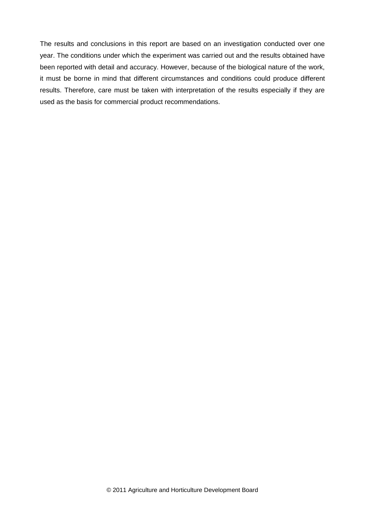The results and conclusions in this report are based on an investigation conducted over one year. The conditions under which the experiment was carried out and the results obtained have been reported with detail and accuracy. However, because of the biological nature of the work, it must be borne in mind that different circumstances and conditions could produce different results. Therefore, care must be taken with interpretation of the results especially if they are used as the basis for commercial product recommendations.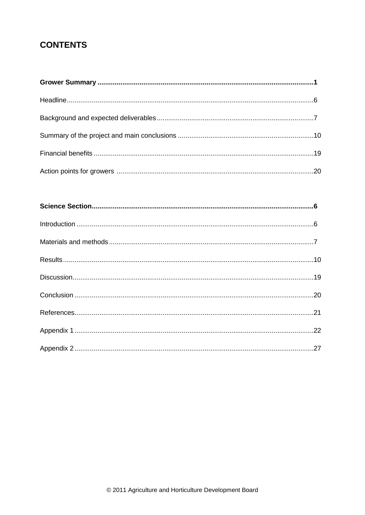# **CONTENTS**

| $\label{eq:interoduction} \mbox{Introduction} \,\, \ldots \,\, \ldots \,\, \ldots \,\, \ldots \,\, \ldots \,\, \ldots \,\, \ldots \,\, \ldots \,\, \ldots \,\, \ldots \,\, \ldots \,\, \ldots \,\, \ldots \,\, \ldots \,\, \ldots \,\, \ldots \,\, \ldots \,\, \ldots \,\, \ldots \,\, \ldots \,\, \ldots \,\, \ldots \,\, \ldots \,\, \ldots \,\, \ldots \,\, \ldots \,\, \ldots \,\, \ldots \,\, \ldots \,\, \ldots \,\, \ldots \,\, \ldots \,\, \ldots \,\, \ldots \$ |  |
|--------------------------------------------------------------------------------------------------------------------------------------------------------------------------------------------------------------------------------------------------------------------------------------------------------------------------------------------------------------------------------------------------------------------------------------------------------------------------|--|
|                                                                                                                                                                                                                                                                                                                                                                                                                                                                          |  |
|                                                                                                                                                                                                                                                                                                                                                                                                                                                                          |  |
|                                                                                                                                                                                                                                                                                                                                                                                                                                                                          |  |
|                                                                                                                                                                                                                                                                                                                                                                                                                                                                          |  |
|                                                                                                                                                                                                                                                                                                                                                                                                                                                                          |  |
|                                                                                                                                                                                                                                                                                                                                                                                                                                                                          |  |
|                                                                                                                                                                                                                                                                                                                                                                                                                                                                          |  |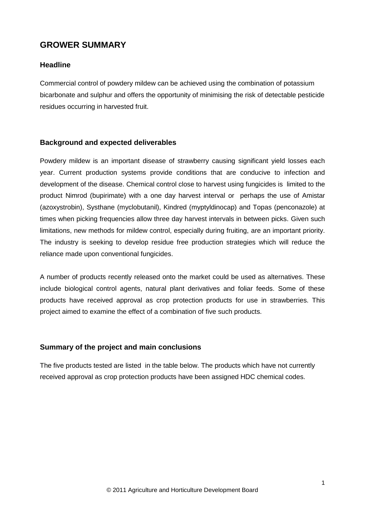## **GROWER SUMMARY**

#### **Headline**

Commercial control of powdery mildew can be achieved using the combination of potassium bicarbonate and sulphur and offers the opportunity of minimising the risk of detectable pesticide residues occurring in harvested fruit.

#### **Background and expected deliverables**

Powdery mildew is an important disease of strawberry causing significant yield losses each year. Current production systems provide conditions that are conducive to infection and development of the disease. Chemical control close to harvest using fungicides is limited to the product Nimrod (bupirimate) with a one day harvest interval or perhaps the use of Amistar (azoxystrobin), Systhane (myclobutanil), Kindred (myptyldinocap) and Topas (penconazole) at times when picking frequencies allow three day harvest intervals in between picks. Given such limitations, new methods for mildew control, especially during fruiting, are an important priority. The industry is seeking to develop residue free production strategies which will reduce the reliance made upon conventional fungicides.

A number of products recently released onto the market could be used as alternatives. These include biological control agents, natural plant derivatives and foliar feeds. Some of these products have received approval as crop protection products for use in strawberries. This project aimed to examine the effect of a combination of five such products.

#### **Summary of the project and main conclusions**

The five products tested are listed in the table below. The products which have not currently received approval as crop protection products have been assigned HDC chemical codes.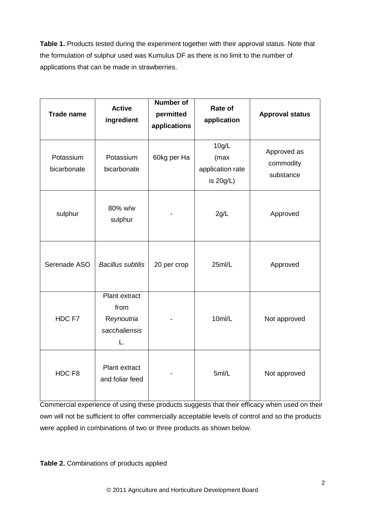**Table 1.** Products tested during the experiment together with their approval status. Note that the formulation of sulphur used was Kumulus DF as there is no limit to the number of applications that can be made in strawberries.

| <b>Trade name</b>        | <b>Active</b><br>ingredient                                | <b>Number of</b><br>permitted<br>applications | Rate of<br>application                         | <b>Approval status</b>                |
|--------------------------|------------------------------------------------------------|-----------------------------------------------|------------------------------------------------|---------------------------------------|
| Potassium<br>bicarbonate | Potassium<br>bicarbonate                                   | 60kg per Ha                                   | 10g/L<br>(max<br>application rate<br>is 20g/L) | Approved as<br>commodity<br>substance |
| sulphur                  | 80% w/w<br>sulphur                                         |                                               | 2g/L                                           | Approved                              |
| Serenade ASO             | <b>Bacillus subtilis</b>                                   | 20 per crop                                   | 25ml/L                                         | Approved                              |
| HDC F7                   | Plant extract<br>from<br>Reynoutria<br>sacchaliensis<br>L. |                                               | 10ml/L                                         | Not approved                          |
| HDC F8                   | Plant extract<br>and foliar feed                           |                                               | 5ml/L                                          | Not approved                          |

Commercial experience of using these products suggests that their efficacy when used on their own will not be sufficient to offer commercially acceptable levels of control and so the products were applied in combinations of two or three products as shown below.

**Table 2.** Combinations of products applied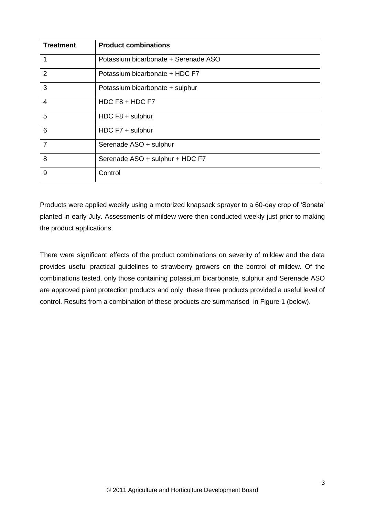| <b>Treatment</b> | <b>Product combinations</b>          |
|------------------|--------------------------------------|
|                  | Potassium bicarbonate + Serenade ASO |
| $\overline{2}$   | Potassium bicarbonate + HDC F7       |
| 3                | Potassium bicarbonate + sulphur      |
| 4                | HDC $F8 + HDC F7$                    |
| 5                | HDC $F8 + \text{subbur}$             |
| 6                | HDC F7 + sulphur                     |
| $\overline{7}$   | Serenade ASO + sulphur               |
| 8                | Serenade ASO + sulphur + HDC F7      |
| 9                | Control                              |

Products were applied weekly using a motorized knapsack sprayer to a 60-day crop of 'Sonata' planted in early July. Assessments of mildew were then conducted weekly just prior to making the product applications.

There were significant effects of the product combinations on severity of mildew and the data provides useful practical guidelines to strawberry growers on the control of mildew. Of the combinations tested, only those containing potassium bicarbonate, sulphur and Serenade ASO are approved plant protection products and only these three products provided a useful level of control. Results from a combination of these products are summarised in Figure 1 (below).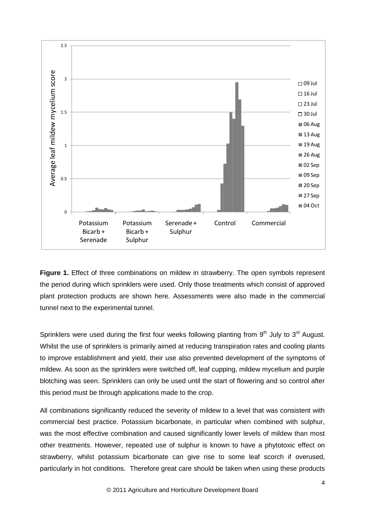

**Figure 1.** Effect of three combinations on mildew in strawberry. The open symbols represent the period during which sprinklers were used. Only those treatments which consist of approved plant protection products are shown here. Assessments were also made in the commercial tunnel next to the experimental tunnel.

Sprinklers were used during the first four weeks following planting from  $9<sup>th</sup>$  July to  $3<sup>rd</sup>$  August. Whilst the use of sprinklers is primarily aimed at reducing transpiration rates and cooling plants to improve establishment and yield, their use also prevented development of the symptoms of mildew. As soon as the sprinklers were switched off, leaf cupping, mildew mycelium and purple blotching was seen. Sprinklers can only be used until the start of flowering and so control after this period must be through applications made to the crop.

All combinations significantly reduced the severity of mildew to a level that was consistent with commercial best practice. Potassium bicarbonate, in particular when combined with sulphur, was the most effective combination and caused significantly lower levels of mildew than most other treatments. However, repeated use of sulphur is known to have a phytotoxic effect on strawberry, whilst potassium bicarbonate can give rise to some leaf scorch if overused, particularly in hot conditions. Therefore great care should be taken when using these products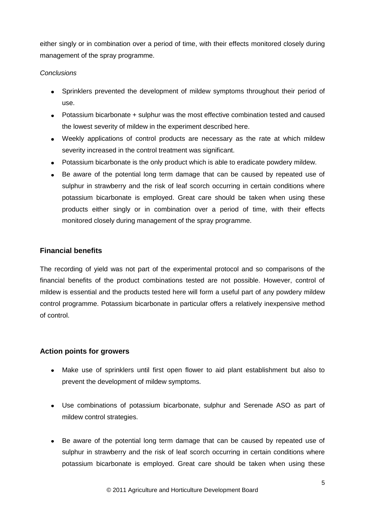either singly or in combination over a period of time, with their effects monitored closely during management of the spray programme.

#### *Conclusions*

- Sprinklers prevented the development of mildew symptoms throughout their period of use.
- Potassium bicarbonate + sulphur was the most effective combination tested and caused the lowest severity of mildew in the experiment described here.
- Weekly applications of control products are necessary as the rate at which mildew severity increased in the control treatment was significant.
- Potassium bicarbonate is the only product which is able to eradicate powdery mildew.
- Be aware of the potential long term damage that can be caused by repeated use of sulphur in strawberry and the risk of leaf scorch occurring in certain conditions where potassium bicarbonate is employed. Great care should be taken when using these products either singly or in combination over a period of time, with their effects monitored closely during management of the spray programme.

#### **Financial benefits**

The recording of yield was not part of the experimental protocol and so comparisons of the financial benefits of the product combinations tested are not possible. However, control of mildew is essential and the products tested here will form a useful part of any powdery mildew control programme. Potassium bicarbonate in particular offers a relatively inexpensive method of control.

#### **Action points for growers**

- Make use of sprinklers until first open flower to aid plant establishment but also to prevent the development of mildew symptoms.
- Use combinations of potassium bicarbonate, sulphur and Serenade ASO as part of mildew control strategies.
- Be aware of the potential long term damage that can be caused by repeated use of sulphur in strawberry and the risk of leaf scorch occurring in certain conditions where potassium bicarbonate is employed. Great care should be taken when using these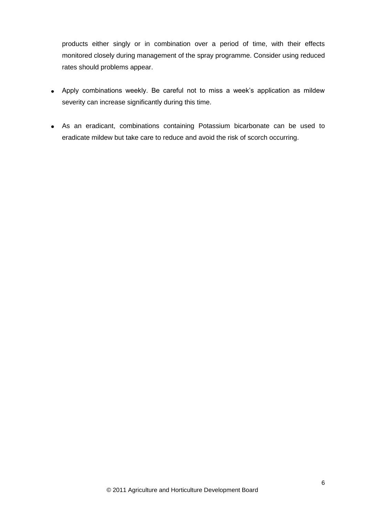products either singly or in combination over a period of time, with their effects monitored closely during management of the spray programme. Consider using reduced rates should problems appear.

- Apply combinations weekly. Be careful not to miss a week's application as mildew severity can increase significantly during this time.
- As an eradicant, combinations containing Potassium bicarbonate can be used to eradicate mildew but take care to reduce and avoid the risk of scorch occurring.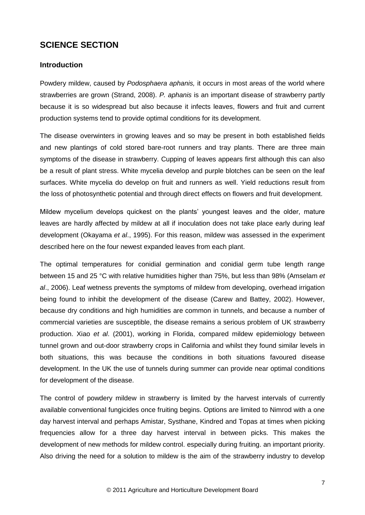## **SCIENCE SECTION**

#### **Introduction**

Powdery mildew, caused by *Podosphaera aphanis,* it occurs in most areas of the world where strawberries are grown (Strand, 2008). *P. aphanis* is an important disease of strawberry partly because it is so widespread but also because it infects leaves, flowers and fruit and current production systems tend to provide optimal conditions for its development.

The disease overwinters in growing leaves and so may be present in both established fields and new plantings of cold stored bare-root runners and tray plants. There are three main symptoms of the disease in strawberry. Cupping of leaves appears first although this can also be a result of plant stress. White mycelia develop and purple blotches can be seen on the leaf surfaces. White mycelia do develop on fruit and runners as well. Yield reductions result from the loss of photosynthetic potential and through direct effects on flowers and fruit development.

Mildew mycelium develops quickest on the plants' youngest leaves and the older, mature leaves are hardly affected by mildew at all if inoculation does not take place early during leaf development (Okayama *et al*., 1995). For this reason, mildew was assessed in the experiment described here on the four newest expanded leaves from each plant.

The optimal temperatures for conidial germination and conidial germ tube length range between 15 and 25 °C with relative humidities higher than 75%, but less than 98% (Amselam *et al*., 2006). Leaf wetness prevents the symptoms of mildew from developing, overhead irrigation being found to inhibit the development of the disease (Carew and Battey, 2002). However, because dry conditions and high humidities are common in tunnels, and because a number of commercial varieties are susceptible, the disease remains a serious problem of UK strawberry production. Xiao *et al*. (2001), working in Florida, compared mildew epidemiology between tunnel grown and out-door strawberry crops in California and whilst they found similar levels in both situations, this was because the conditions in both situations favoured disease development. In the UK the use of tunnels during summer can provide near optimal conditions for development of the disease.

The control of powdery mildew in strawberry is limited by the harvest intervals of currently available conventional fungicides once fruiting begins. Options are limited to Nimrod with a one day harvest interval and perhaps Amistar, Systhane, Kindred and Topas at times when picking frequencies allow for a three day harvest interval in between picks. This makes the development of new methods for mildew control. especially during fruiting. an important priority. Also driving the need for a solution to mildew is the aim of the strawberry industry to develop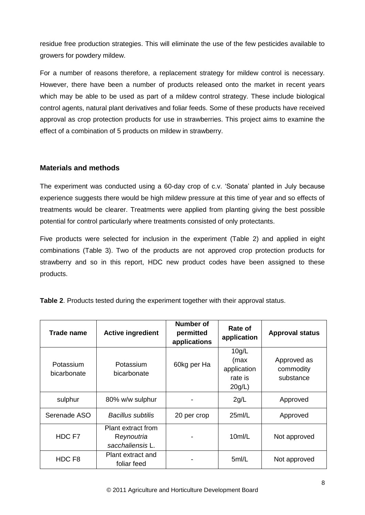residue free production strategies. This will eliminate the use of the few pesticides available to growers for powdery mildew.

For a number of reasons therefore, a replacement strategy for mildew control is necessary. However, there have been a number of products released onto the market in recent years which may be able to be used as part of a mildew control strategy. These include biological control agents, natural plant derivatives and foliar feeds. Some of these products have received approval as crop protection products for use in strawberries. This project aims to examine the effect of a combination of 5 products on mildew in strawberry.

#### **Materials and methods**

The experiment was conducted using a 60-day crop of c.v. 'Sonata' planted in July because experience suggests there would be high mildew pressure at this time of year and so effects of treatments would be clearer. Treatments were applied from planting giving the best possible potential for control particularly where treatments consisted of only protectants.

Five products were selected for inclusion in the experiment (Table 2) and applied in eight combinations (Table 3). Two of the products are not approved crop protection products for strawberry and so in this report, HDC new product codes have been assigned to these products.

| Trade name               | <b>Active ingredient</b>                             | Number of<br>permitted<br>applications | Rate of<br>application                            | <b>Approval status</b>                |
|--------------------------|------------------------------------------------------|----------------------------------------|---------------------------------------------------|---------------------------------------|
| Potassium<br>bicarbonate | Potassium<br>bicarbonate                             | 60kg per Ha                            | 10g/L<br>(max<br>application<br>rate is<br>20g/L) | Approved as<br>commodity<br>substance |
| sulphur                  | 80% w/w sulphur                                      |                                        | 2g/L                                              | Approved                              |
| Serenade ASO             | Bacillus subtilis                                    | 20 per crop                            | 25m/L                                             | Approved                              |
| HDC F7                   | Plant extract from<br>Reynoutria<br>sacchaliensis L. |                                        | 10m/L                                             | Not approved                          |
| HDC F8                   | Plant extract and<br>foliar feed                     |                                        | 5ml/L                                             | Not approved                          |

**Table 2**. Products tested during the experiment together with their approval status.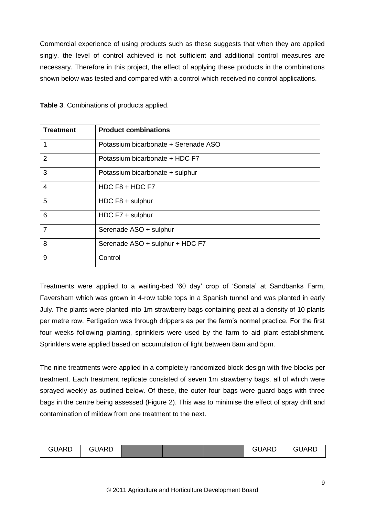Commercial experience of using products such as these suggests that when they are applied singly, the level of control achieved is not sufficient and additional control measures are necessary. Therefore in this project, the effect of applying these products in the combinations shown below was tested and compared with a control which received no control applications.

| <b>Treatment</b> | <b>Product combinations</b>          |
|------------------|--------------------------------------|
| 1                | Potassium bicarbonate + Serenade ASO |
| $\overline{2}$   | Potassium bicarbonate + HDC F7       |
| 3                | Potassium bicarbonate + sulphur      |
| $\overline{4}$   | HDC $F8 + HDC F7$                    |
| 5                | HDC F8 + sulphur                     |
| 6                | HDC $F7 + \text{subbur}$             |
| $\overline{7}$   | Serenade ASO + sulphur               |
| 8                | Serenade ASO + sulphur + HDC F7      |
| 9                | Control                              |

**Table 3**. Combinations of products applied.

Treatments were applied to a waiting-bed '60 day' crop of 'Sonata' at Sandbanks Farm, Faversham which was grown in 4-row table tops in a Spanish tunnel and was planted in early July. The plants were planted into 1m strawberry bags containing peat at a density of 10 plants per metre row. Fertigation was through drippers as per the farm's normal practice. For the first four weeks following planting, sprinklers were used by the farm to aid plant establishment. Sprinklers were applied based on accumulation of light between 8am and 5pm.

The nine treatments were applied in a completely randomized block design with five blocks per treatment. Each treatment replicate consisted of seven 1m strawberry bags, all of which were sprayed weekly as outlined below. Of these, the outer four bags were guard bags with three bags in the centre being assessed (Figure 2). This was to minimise the effect of spray drift and contamination of mildew from one treatment to the next.

| GUARD | GUARD |  |  |  | GUARD | GUARD |
|-------|-------|--|--|--|-------|-------|
|-------|-------|--|--|--|-------|-------|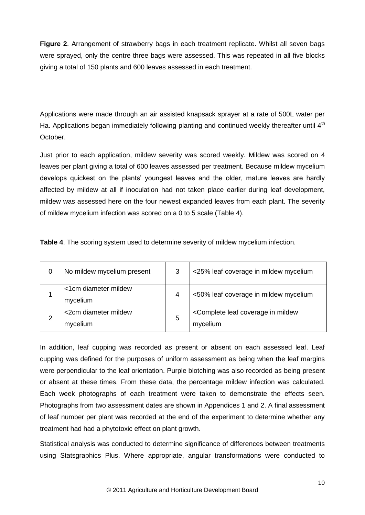**Figure 2**. Arrangement of strawberry bags in each treatment replicate. Whilst all seven bags were sprayed, only the centre three bags were assessed. This was repeated in all five blocks giving a total of 150 plants and 600 leaves assessed in each treatment.

Applications were made through an air assisted knapsack sprayer at a rate of 500L water per Ha. Applications began immediately following planting and continued weekly thereafter until  $4<sup>th</sup>$ October.

Just prior to each application, mildew severity was scored weekly. Mildew was scored on 4 leaves per plant giving a total of 600 leaves assessed per treatment. Because mildew mycelium develops quickest on the plants' youngest leaves and the older, mature leaves are hardly affected by mildew at all if inoculation had not taken place earlier during leaf development, mildew was assessed here on the four newest expanded leaves from each plant. The severity of mildew mycelium infection was scored on a 0 to 5 scale (Table 4).

| 0 | No mildew mycelium present       | 3 | <25% leaf coverage in mildew mycelium                                |
|---|----------------------------------|---|----------------------------------------------------------------------|
|   | <1cm diameter mildew<br>mycelium | 4 | <50% leaf coverage in mildew mycelium                                |
|   | <2cm diameter mildew<br>mycelium | 5 | <complete coverage="" in="" leaf="" mildew<br="">mycelium</complete> |

**Table 4**. The scoring system used to determine severity of mildew mycelium infection.

In addition, leaf cupping was recorded as present or absent on each assessed leaf. Leaf cupping was defined for the purposes of uniform assessment as being when the leaf margins were perpendicular to the leaf orientation. Purple blotching was also recorded as being present or absent at these times. From these data, the percentage mildew infection was calculated. Each week photographs of each treatment were taken to demonstrate the effects seen. Photographs from two assessment dates are shown in Appendices 1 and 2. A final assessment of leaf number per plant was recorded at the end of the experiment to determine whether any treatment had had a phytotoxic effect on plant growth.

Statistical analysis was conducted to determine significance of differences between treatments using Statsgraphics Plus. Where appropriate, angular transformations were conducted to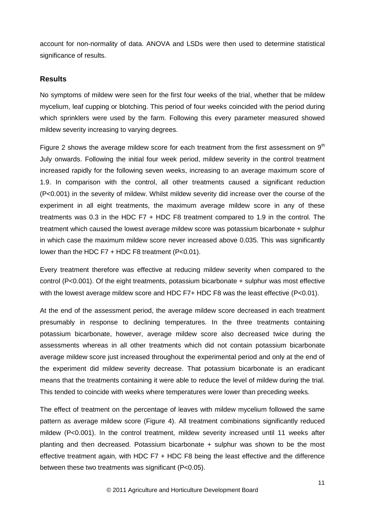account for non-normality of data. ANOVA and LSDs were then used to determine statistical significance of results.

#### **Results**

No symptoms of mildew were seen for the first four weeks of the trial, whether that be mildew mycelium, leaf cupping or blotching. This period of four weeks coincided with the period during which sprinklers were used by the farm. Following this every parameter measured showed mildew severity increasing to varying degrees.

Figure 2 shows the average mildew score for each treatment from the first assessment on  $9<sup>th</sup>$ July onwards. Following the initial four week period, mildew severity in the control treatment increased rapidly for the following seven weeks, increasing to an average maximum score of 1.9. In comparison with the control, all other treatments caused a significant reduction (P<0.001) in the severity of mildew. Whilst mildew severity did increase over the course of the experiment in all eight treatments, the maximum average mildew score in any of these treatments was 0.3 in the HDC F7 + HDC F8 treatment compared to 1.9 in the control. The treatment which caused the lowest average mildew score was potassium bicarbonate + sulphur in which case the maximum mildew score never increased above 0.035. This was significantly lower than the HDC F7 + HDC F8 treatment (P<0.01).

Every treatment therefore was effective at reducing mildew severity when compared to the control (P<0.001). Of the eight treatments, potassium bicarbonate + sulphur was most effective with the lowest average mildew score and HDC F7+ HDC F8 was the least effective (P<0.01).

At the end of the assessment period, the average mildew score decreased in each treatment presumably in response to declining temperatures. In the three treatments containing potassium bicarbonate, however, average mildew score also decreased twice during the assessments whereas in all other treatments which did not contain potassium bicarbonate average mildew score just increased throughout the experimental period and only at the end of the experiment did mildew severity decrease. That potassium bicarbonate is an eradicant means that the treatments containing it were able to reduce the level of mildew during the trial. This tended to coincide with weeks where temperatures were lower than preceding weeks.

The effect of treatment on the percentage of leaves with mildew mycelium followed the same pattern as average mildew score (Figure 4). All treatment combinations significantly reduced mildew (P<0.001). In the control treatment, mildew severity increased until 11 weeks after planting and then decreased. Potassium bicarbonate + sulphur was shown to be the most effective treatment again, with HDC F7 + HDC F8 being the least effective and the difference between these two treatments was significant (P<0.05).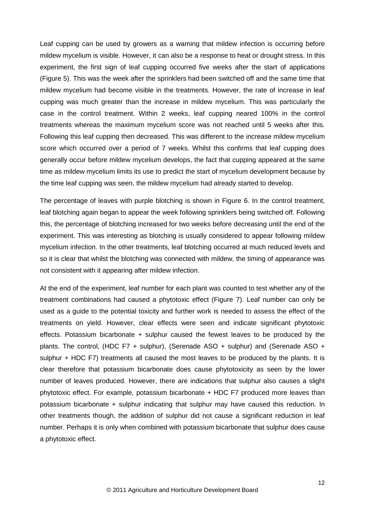Leaf cupping can be used by growers as a warning that mildew infection is occurring before mildew mycelium is visible. However, it can also be a response to heat or drought stress. In this experiment, the first sign of leaf cupping occurred five weeks after the start of applications (Figure 5). This was the week after the sprinklers had been switched off and the same time that mildew mycelium had become visible in the treatments. However, the rate of increase in leaf cupping was much greater than the increase in mildew mycelium. This was particularly the case in the control treatment. Within 2 weeks, leaf cupping neared 100% in the control treatments whereas the maximum mycelium score was not reached until 5 weeks after this. Following this leaf cupping then decreased. This was different to the increase mildew mycelium score which occurred over a period of 7 weeks. Whilst this confirms that leaf cupping does generally occur before mildew mycelium develops, the fact that cupping appeared at the same time as mildew mycelium limits its use to predict the start of mycelium development because by the time leaf cupping was seen, the mildew mycelium had already started to develop.

The percentage of leaves with purple blotching is shown in Figure 6. In the control treatment, leaf blotching again began to appear the week following sprinklers being switched off. Following this, the percentage of blotching increased for two weeks before decreasing until the end of the experiment. This was interesting as blotching is usually considered to appear following mildew mycelium infection. In the other treatments, leaf blotching occurred at much reduced levels and so it is clear that whilst the blotching was connected with mildew, the timing of appearance was not consistent with it appearing after mildew infection.

At the end of the experiment, leaf number for each plant was counted to test whether any of the treatment combinations had caused a phytotoxic effect (Figure 7). Leaf number can only be used as a guide to the potential toxicity and further work is needed to assess the effect of the treatments on yield. However, clear effects were seen and indicate significant phytotoxic effects. Potassium bicarbonate + sulphur caused the fewest leaves to be produced by the plants. The control, (HDC F7 + sulphur), (Serenade ASO + sulphur) and (Serenade ASO + sulphur + HDC F7) treatments all caused the most leaves to be produced by the plants. It is clear therefore that potassium bicarbonate does cause phytotoxicity as seen by the lower number of leaves produced. However, there are indications that sulphur also causes a slight phytotoxic effect. For example, potassium bicarbonate + HDC F7 produced more leaves than potassium bicarbonate + sulphur indicating that sulphur may have caused this reduction. In other treatments though, the addition of sulphur did not cause a significant reduction in leaf number. Perhaps it is only when combined with potassium bicarbonate that sulphur does cause a phytotoxic effect.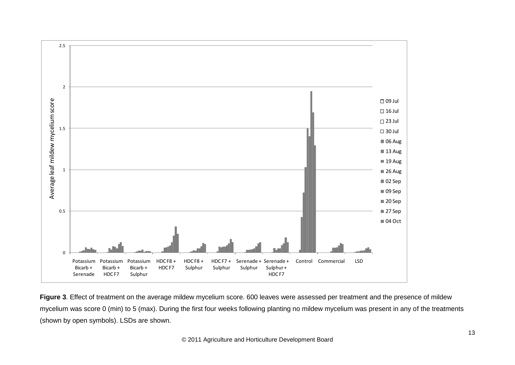

**Figure 3**. Effect of treatment on the average mildew mycelium score. 600 leaves were assessed per treatment and the presence of mildew mycelium was score 0 (min) to 5 (max). During the first four weeks following planting no mildew mycelium was present in any of the treatments (shown by open symbols). LSDs are shown.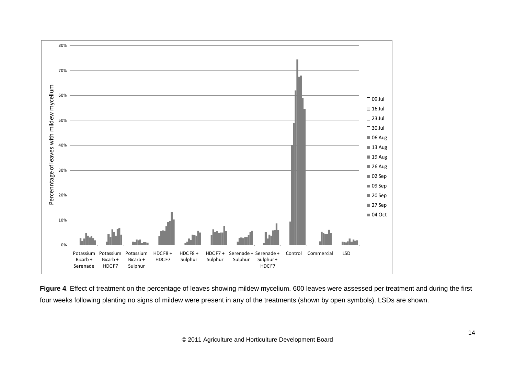

**Figure 4**. Effect of treatment on the percentage of leaves showing mildew mycelium. 600 leaves were assessed per treatment and during the first four weeks following planting no signs of mildew were present in any of the treatments (shown by open symbols). LSDs are shown.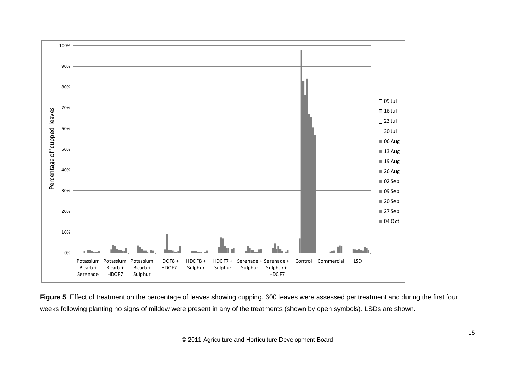

**Figure 5**. Effect of treatment on the percentage of leaves showing cupping. 600 leaves were assessed per treatment and during the first four weeks following planting no signs of mildew were present in any of the treatments (shown by open symbols). LSDs are shown.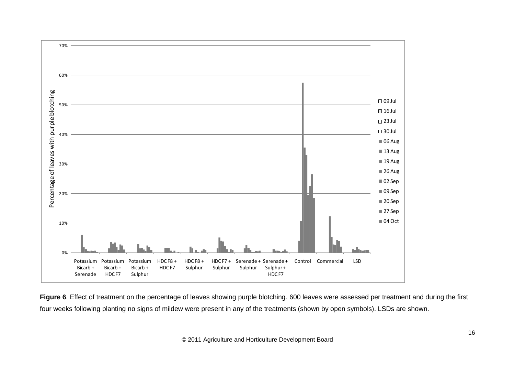

**Figure 6**. Effect of treatment on the percentage of leaves showing purple blotching. 600 leaves were assessed per treatment and during the first four weeks following planting no signs of mildew were present in any of the treatments (shown by open symbols). LSDs are shown.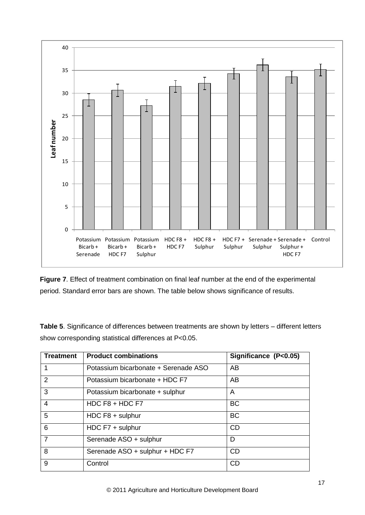

**Figure 7**. Effect of treatment combination on final leaf number at the end of the experimental period. Standard error bars are shown. The table below shows significance of results.

**Table 5**. Significance of differences between treatments are shown by letters – different letters show corresponding statistical differences at P<0.05.

| <b>Treatment</b> | <b>Product combinations</b>          | Significance (P<0.05) |
|------------------|--------------------------------------|-----------------------|
| 1                | Potassium bicarbonate + Serenade ASO | AB                    |
| 2                | Potassium bicarbonate + HDC F7       | AB.                   |
| 3                | Potassium bicarbonate + sulphur      | A                     |
| $\overline{4}$   | HDC $F8 + HDC F7$                    | <b>BC</b>             |
| 5                | HDC F8 + sulphur                     | <b>BC</b>             |
| 6                | HDC $F7 + \text{subphur}$            | <b>CD</b>             |
| $\overline{7}$   | Serenade ASO + sulphur               | D                     |
| 8                | Serenade ASO + sulphur + HDC F7      | <b>CD</b>             |
| 9                | Control                              | <b>CD</b>             |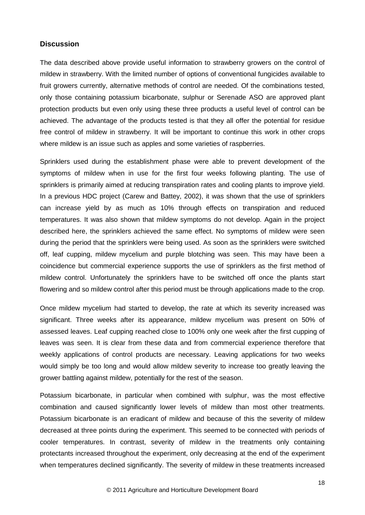#### **Discussion**

The data described above provide useful information to strawberry growers on the control of mildew in strawberry. With the limited number of options of conventional fungicides available to fruit growers currently, alternative methods of control are needed. Of the combinations tested, only those containing potassium bicarbonate, sulphur or Serenade ASO are approved plant protection products but even only using these three products a useful level of control can be achieved. The advantage of the products tested is that they all offer the potential for residue free control of mildew in strawberry. It will be important to continue this work in other crops where mildew is an issue such as apples and some varieties of raspberries.

Sprinklers used during the establishment phase were able to prevent development of the symptoms of mildew when in use for the first four weeks following planting. The use of sprinklers is primarily aimed at reducing transpiration rates and cooling plants to improve yield. In a previous HDC project (Carew and Battey, 2002), it was shown that the use of sprinklers can increase yield by as much as 10% through effects on transpiration and reduced temperatures. It was also shown that mildew symptoms do not develop. Again in the project described here, the sprinklers achieved the same effect. No symptoms of mildew were seen during the period that the sprinklers were being used. As soon as the sprinklers were switched off, leaf cupping, mildew mycelium and purple blotching was seen. This may have been a coincidence but commercial experience supports the use of sprinklers as the first method of mildew control. Unfortunately the sprinklers have to be switched off once the plants start flowering and so mildew control after this period must be through applications made to the crop.

Once mildew mycelium had started to develop, the rate at which its severity increased was significant. Three weeks after its appearance, mildew mycelium was present on 50% of assessed leaves. Leaf cupping reached close to 100% only one week after the first cupping of leaves was seen. It is clear from these data and from commercial experience therefore that weekly applications of control products are necessary. Leaving applications for two weeks would simply be too long and would allow mildew severity to increase too greatly leaving the grower battling against mildew, potentially for the rest of the season.

Potassium bicarbonate, in particular when combined with sulphur, was the most effective combination and caused significantly lower levels of mildew than most other treatments. Potassium bicarbonate is an eradicant of mildew and because of this the severity of mildew decreased at three points during the experiment. This seemed to be connected with periods of cooler temperatures. In contrast, severity of mildew in the treatments only containing protectants increased throughout the experiment, only decreasing at the end of the experiment when temperatures declined significantly. The severity of mildew in these treatments increased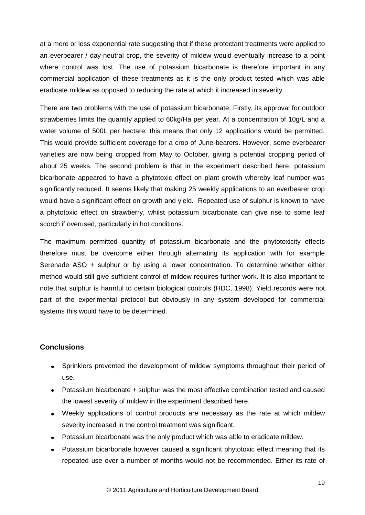at a more or less exponential rate suggesting that if these protectant treatments were applied to an everbearer / day-neutral crop, the severity of mildew would eventually increase to a point where control was lost. The use of potassium bicarbonate is therefore important in any commercial application of these treatments as it is the only product tested which was able eradicate mildew as opposed to reducing the rate at which it increased in severity.

There are two problems with the use of potassium bicarbonate. Firstly, its approval for outdoor strawberries limits the quantity applied to 60kg/Ha per year. At a concentration of 10g/L and a water volume of 500L per hectare, this means that only 12 applications would be permitted. This would provide sufficient coverage for a crop of June-bearers. However, some everbearer varieties are now being cropped from May to October, giving a potential cropping period of about 25 weeks. The second problem is that in the experiment described here, potassium bicarbonate appeared to have a phytotoxic effect on plant growth whereby leaf number was significantly reduced. It seems likely that making 25 weekly applications to an everbearer crop would have a significant effect on growth and yield. Repeated use of sulphur is known to have a phytotoxic effect on strawberry, whilst potassium bicarbonate can give rise to some leaf scorch if overused, particularly in hot conditions.

The maximum permitted quantity of potassium bicarbonate and the phytotoxicity effects therefore must be overcome either through alternating its application with for example Serenade ASO + sulphur or by using a lower concentration. To determine whether either method would still give sufficient control of mildew requires further work. It is also important to note that sulphur is harmful to certain biological controls (HDC, 1998). Yield records were not part of the experimental protocol but obviously in any system developed for commercial systems this would have to be determined.

#### **Conclusions**

- Sprinklers prevented the development of mildew symptoms throughout their period of  $\bullet$ use.
- Potassium bicarbonate + sulphur was the most effective combination tested and caused the lowest severity of mildew in the experiment described here.
- Weekly applications of control products are necessary as the rate at which mildew severity increased in the control treatment was significant.
- Potassium bicarbonate was the only product which was able to eradicate mildew.
- Potassium bicarbonate however caused a significant phytotoxic effect meaning that its  $\bullet$ repeated use over a number of months would not be recommended. Either its rate of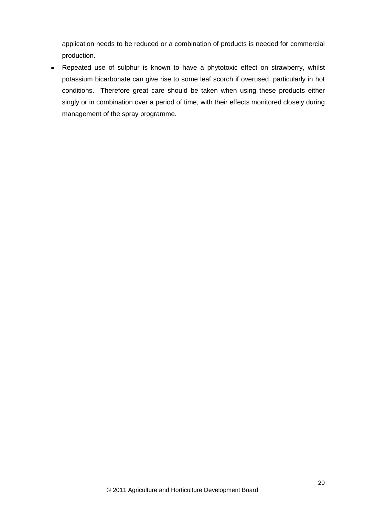application needs to be reduced or a combination of products is needed for commercial production.

Repeated use of sulphur is known to have a phytotoxic effect on strawberry, whilst potassium bicarbonate can give rise to some leaf scorch if overused, particularly in hot conditions. Therefore great care should be taken when using these products either singly or in combination over a period of time, with their effects monitored closely during management of the spray programme.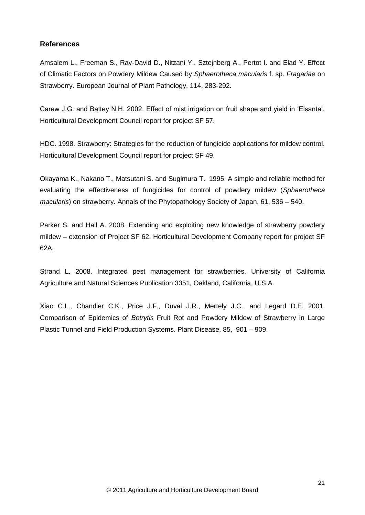#### **References**

Amsalem L., Freeman S., Rav-David D., Nitzani Y., Sztejnberg A., Pertot I. and Elad Y. Effect of Climatic Factors on Powdery Mildew Caused by *Sphaerotheca macularis* f. sp. *Fragariae* on Strawberry. European Journal of Plant Pathology, 114, 283-292.

Carew J.G. and Battey N.H. 2002. Effect of mist irrigation on fruit shape and yield in 'Elsanta'. Horticultural Development Council report for project SF 57.

HDC. 1998. Strawberry: Strategies for the reduction of fungicide applications for mildew control. Horticultural Development Council report for project SF 49.

Okayama K., Nakano T., Matsutani S. and Sugimura T. 1995. A simple and reliable method for evaluating the effectiveness of fungicides for control of powdery mildew (*Sphaerotheca macularis*) on strawberry. Annals of the Phytopathology Society of Japan, 61, 536 – 540.

Parker S. and Hall A. 2008. Extending and exploiting new knowledge of strawberry powdery mildew – extension of Project SF 62. Horticultural Development Company report for project SF 62A.

Strand L. 2008. Integrated pest management for strawberries. University of California Agriculture and Natural Sciences Publication 3351, Oakland, California, U.S.A.

Xiao C.L., Chandler C.K., Price J.F., Duval J.R., Mertely J.C., and Legard D.E. 2001. Comparison of Epidemics of *Botrytis* Fruit Rot and Powdery Mildew of Strawberry in Large Plastic Tunnel and Field Production Systems. Plant Disease, 85, 901 – 909.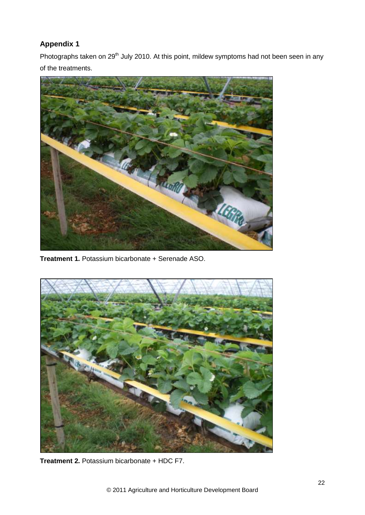## **Appendix 1**

Photographs taken on 29<sup>th</sup> July 2010. At this point, mildew symptoms had not been seen in any of the treatments.



**Treatment 1.** Potassium bicarbonate + Serenade ASO.



**Treatment 2.** Potassium bicarbonate + HDC F7.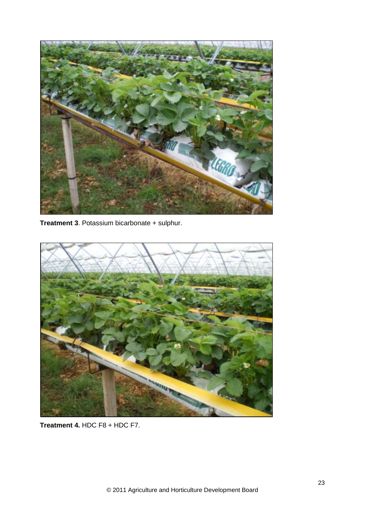

**Treatment 3**. Potassium bicarbonate + sulphur.



**Treatment 4.** HDC F8 + HDC F7.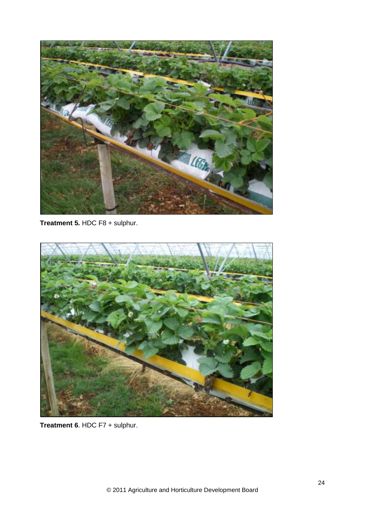

**Treatment 5.** HDC F8 + sulphur.



**Treatment 6**. HDC F7 + sulphur.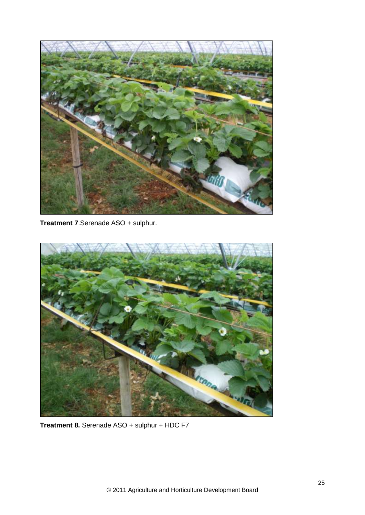

**Treatment 7**.Serenade ASO + sulphur.



**Treatment 8.** Serenade ASO + sulphur + HDC F7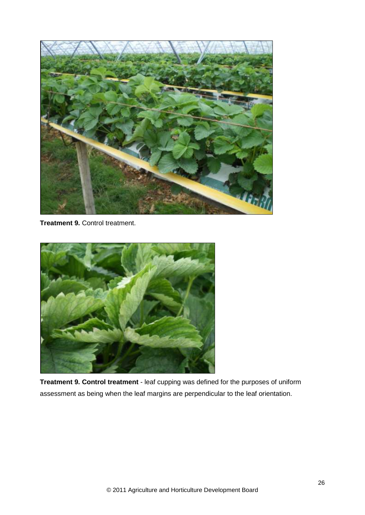

**Treatment 9.** Control treatment.



**Treatment 9. Control treatment** - leaf cupping was defined for the purposes of uniform assessment as being when the leaf margins are perpendicular to the leaf orientation.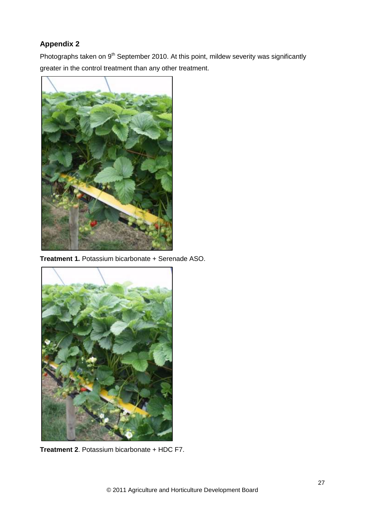## **Appendix 2**

Photographs taken on 9<sup>th</sup> September 2010. At this point, mildew severity was significantly greater in the control treatment than any other treatment.



**Treatment 1.** Potassium bicarbonate + Serenade ASO.



**Treatment 2**. Potassium bicarbonate + HDC F7.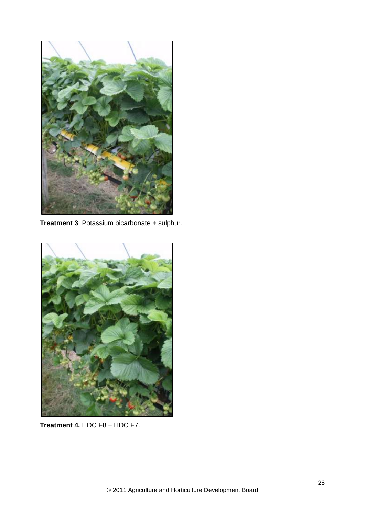

**Treatment 3**. Potassium bicarbonate + sulphur.



**Treatment 4.** HDC F8 + HDC F7.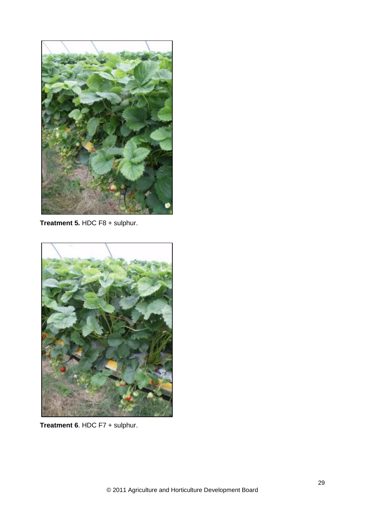

**Treatment 5.** HDC F8 + sulphur.



**Treatment 6**. HDC F7 + sulphur.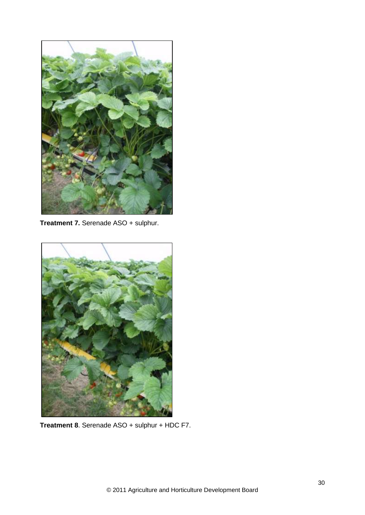

**Treatment 7.** Serenade ASO + sulphur.



**Treatment 8**. Serenade ASO + sulphur + HDC F7.